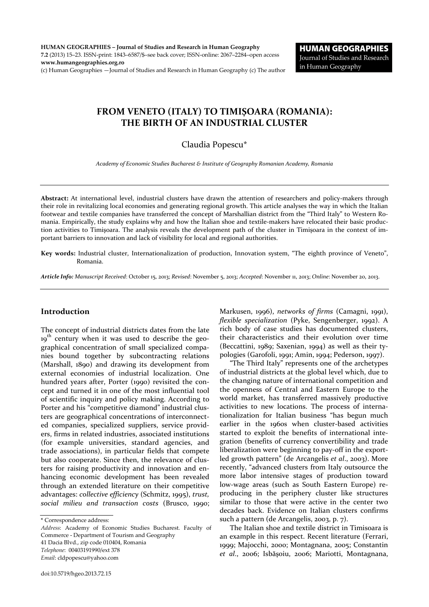HUMAN GEOGRAPHIES – Journal of Studies and Research in Human Geography 7.2 (2013) 15–23. ISSN-print: 1843–6587/\$–see back cover; ISSN-online: 2067–2284–open access www.humangeographies.org.ro (c) Human Geographies —Journal of Studies and Research in Human Geography (c) The author

# FROM VENETO (ITALY) TO TIMIŞOARA (ROMANIA): THE BIRTH OF AN INDUSTRIAL CLUSTER

# Claudia Popescu\*

*Academy of Economic Studies Bucharest & Institute of Geography Romanian Academy, Romania*

Abstract: At international level, industrial clusters have drawn the attention of researchers and policy-makers through their role in revitalizing local economies and generating regional growth. This article analyses the way in which the Italian footwear and textile companies have transferred the concept of Marshallian district from the "Third Italy" to Western Romania. Empirically, the study explains why and how the Italian shoe and textile-makers have relocated their basic production activities to Timişoara. The analysis reveals the development path of the cluster in Timişoara in the context of important barriers to innovation and lack of visibility for local and regional authorities.

Key words: Industrial cluster, Internationalization of production, Innovation system, "The eighth province of Veneto", Romania.

*Article Info: Manuscript Received*: October 15, 2013; *Revised*: November 5, 2013; *Accepted*: November 11, 2013; *Online*: November 20, 2013.

### Introduction

The concept of industrial districts dates from the late 19<sup>th</sup> century when it was used to describe the geographical concentration of small specialized companies bound together by subcontracting relations (Marshall, 1890) and drawing its development from external economies of industrial localization. One hundred years after, Porter (1990) revisited the concept and turned it in one of the most influential tool of scientific inquiry and policy making. According to Porter and his "competitive diamond" industrial clusters are geographical concentrations of interconnected companies, specialized suppliers, service providers, firms in related industries, associated institutions (for example universities, standard agencies, and trade associations), in particular fields that compete but also cooperate. Since then, the relevance of clusters for raising productivity and innovation and enhancing economic development has been revealed through an extended literature on their competitive advantages: *collective efficiency* (Schmitz, 1995), *trust, social milieu and transaction costs* (Brusco, 1990;

*Address*: Academy of Economic Studies Bucharest. Faculty of Commerce - Department of Tourism and Geography 41 Dacia Blvd., zip code 010404, Romania *Telephone*: 00403191990/ext 378

*Email*: cldpopescu@yahoo.com

Markusen, 1996), *networks of firms* (Camagni, 1991), *flexible specialization* (Pyke, Sengenberger, 1992). A rich body of case studies has documented clusters, their characteristics and their evolution over time (Beccattini, 1989; Saxenian, 1994) as well as their typologies (Garofoli, 1991; Amin, 1994; Pederson, 1997).

"The Third Italy" represents one of the archetypes of industrial districts at the global level which, due to the changing nature of international competition and the openness of Central and Eastern Europe to the world market, has transferred massively productive activities to new locations. The process of internationalization for Italian business "has begun much earlier in the 1960s when cluster-based activities started to exploit the benefits of international integration (benefits of currency convertibility and trade liberalization were beginning to pay-off in the exportled growth pattern" (de Arcangelis *et al*., 2003). More recently, "advanced clusters from Italy outsource the more labor intensive stages of production toward low-wage areas (such as South Eastern Europe) reproducing in the periphery cluster like structures similar to those that were active in the center two decades back. Evidence on Italian clusters confirms such a pattern (de Arcangelis, 2003, p. 7).

The Italian shoe and textile district in Timisoara is an example in this respect. Recent literature (Ferrari, 1999; Majocchi, 2000; Montagnana, 2005; Constantin *et al*., 2006; Isbăşoiu, 2006; Mariotti, Montagnana,

<sup>\*</sup> Correspondence address: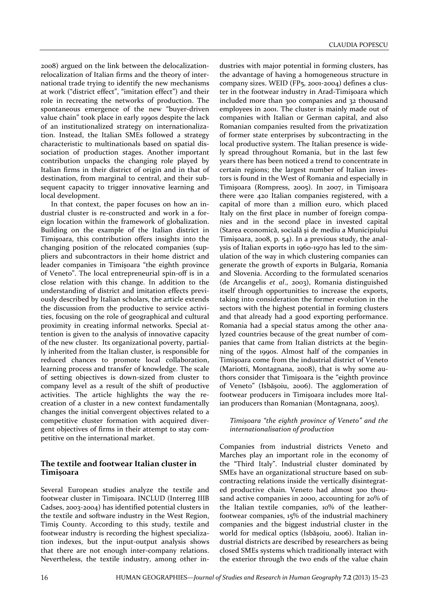2008) argued on the link between the delocalizationrelocalization of Italian firms and the theory of international trade trying to identify the new mechanisms at work ("district effect", "imitation effect") and their role in recreating the networks of production. The spontaneous emergence of the new "buyer-driven value chain" took place in early 1990s despite the lack of an institutionalized strategy on internationalization. Instead, the Italian SMEs followed a strategy characteristic to multinationals based on spatial dissociation of production stages. Another important contribution unpacks the changing role played by Italian firms in their district of origin and in that of destination, from marginal to central, and their subsequent capacity to trigger innovative learning and local development.

In that context, the paper focuses on how an industrial cluster is re-constructed and work in a foreign location within the framework of globalization. Building on the example of the Italian district in Timişoara, this contribution offers insights into the changing position of the relocated companies (suppliers and subcontractors in their home district and leader companies in Timişoara "the eighth province of Veneto". The local entrepreneurial spin-off is in a close relation with this change. In addition to the understanding of district and imitation effects previously described by Italian scholars, the article extends the discussion from the productive to service activities, focusing on the role of geographical and cultural proximity in creating informal networks. Special attention is given to the analysis of innovative capacity of the new cluster. Its organizational poverty, partially inherited from the Italian cluster, is responsible for reduced chances to promote local collaboration, learning process and transfer of knowledge. The scale of setting objectives is down-sized from cluster to company level as a result of the shift of productive activities. The article highlights the way the recreation of a cluster in a new context fundamentally changes the initial convergent objectives related to a competitive cluster formation with acquired divergent objectives of firms in their attempt to stay competitive on the international market.

# The textile and footwear Italian cluster in Timişoara

Several European studies analyze the textile and footwear cluster in Timişoara. INCLUD (Interreg IIIB Cadses, 2003-2004) has identified potential clusters in the textile and software industry in the West Region, Timiş County. According to this study, textile and footwear industry is recording the highest specialization indexes, but the input-output analysis shows that there are not enough inter-company relations. Nevertheless, the textile industry, among other industries with major potential in forming clusters, has the advantage of having a homogeneous structure in company sizes. WEID (FP5, 2001-2004) defines a cluster in the footwear industry in Arad-Timişoara which included more than 300 companies and 32 thousand employees in 2001. The cluster is mainly made out of companies with Italian or German capital, and also Romanian companies resulted from the privatization of former state enterprises by subcontracting in the local productive system. The Italian presence is widely spread throughout Romania, but in the last few years there has been noticed a trend to concentrate in certain regions; the largest number of Italian investors is found in the West of Romania and especially in Timişoara (Rompress, 2005). In 2007, in Timişoara there were 420 Italian companies registered, with a capital of more than 2 million euro, which placed Italy on the first place in number of foreign companies and in the second place in invested capital (Starea economică, socială şi de mediu a Municipiului Timişoara, 2008, p. 54). In a previous study, the analysis of Italian exports in 1960-1970 has led to the simulation of the way in which clustering companies can generate the growth of exports in Bulgaria, Romania and Slovenia. According to the formulated scenarios (de Arcangelis *et al*., 2003), Romania distinguished itself through opportunities to increase the exports, taking into consideration the former evolution in the sectors with the highest potential in forming clusters and that already had a good exporting performance. Romania had a special status among the other analyzed countries because of the great number of companies that came from Italian districts at the beginning of the 1990s. Almost half of the companies in Timişoara come from the industrial district of Veneto (Mariotti, Montagnana, 2008), that is why some authors consider that Timişoara is the "eighth province of Veneto" (Isbăşoiu, 2006). The agglomeration of footwear producers in Timişoara includes more Italian producers than Romanian (Montagnana, 2005).

#### *Timişoara "the eighth province of Veneto" and the internationalisation of production*

Companies from industrial districts Veneto and Marches play an important role in the economy of the "Third Italy". Industrial cluster dominated by SMEs have an organizational structure based on subcontracting relations inside the vertically disintegrated productive chain. Veneto had almost 300 thousand active companies in 2000, accounting for 20% of the Italian textile companies, 10% of the leatherfootwear companies, 15% of the industrial machinery companies and the biggest industrial cluster in the world for medical optics (Isbăşoiu, 2006). Italian industrial districts are described by researchers as being closed SMEs systems which traditionally interact with the exterior through the two ends of the value chain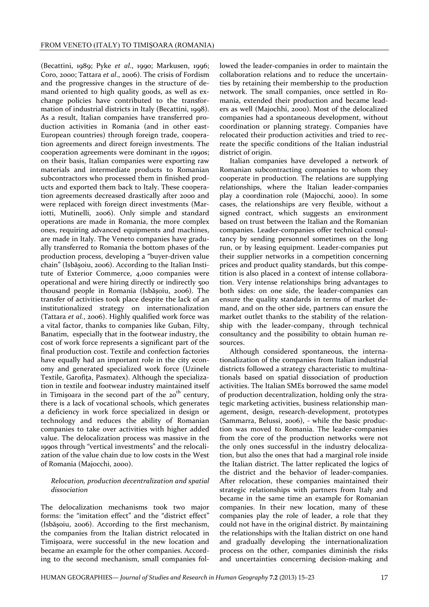(Becattini, 1989; Pyke *et al*., 1990; Markusen, 1996; Coro, 2000; Tattara *et al*., 2006). The crisis of Fordism and the progressive changes in the structure of demand oriented to high quality goods, as well as exchange policies have contributed to the transformation of industrial districts in Italy (Becattini, 1998). As a result, Italian companies have transferred production activities in Romania (and in other east-European countries) through foreign trade, cooperation agreements and direct foreign investments. The cooperation agreements were dominant in the 1990s; on their basis, Italian companies were exporting raw materials and intermediate products to Romanian subcontractors who processed them in finished products and exported them back to Italy. These cooperation agreements decreased drastically after 2000 and were replaced with foreign direct investments (Mariotti, Mutinelli, 2006). Only simple and standard operations are made in Romania, the more complex ones, requiring advanced equipments and machines, are made in Italy. The Veneto companies have gradually transferred to Romania the bottom phases of the production process, developing a "buyer-driven value chain" (Isbăşoiu, 2006). According to the Italian Institute of Exterior Commerce, 4,000 companies were operational and were hiring directly or indirectly 500 thousand people in Romania (Isbăşoiu, 2006). The transfer of activities took place despite the lack of an institutionalized strategy on internationalization (Tattara *et al.*, 2006). Highly qualified work force was a vital factor, thanks to companies like Guban, Filty, Banatim, especially that in the footwear industry, the cost of work force represents a significant part of the final production cost. Textile and confection factories have equally had an important role in the city economy and generated specialized work force (Uzinele Textile, Garofiţa, Pasmatex). Although the specialization in textile and footwear industry maintained itself in Timișoara in the second part of the  $20<sup>th</sup>$  century, there is a lack of vocational schools, which generates a deficiency in work force specialized in design or technology and reduces the ability of Romanian companies to take over activities with higher added value. The delocalization process was massive in the 1990s through "vertical investments" and the relocalization of the value chain due to low costs in the West of Romania (Majocchi, 2000).

#### *Relocation, production decentralization and spatial dissociation*

The delocalization mechanisms took two major forms: the "imitation effect" and the "district effect" (Isbăşoiu, 2006). According to the first mechanism, the companies from the Italian district relocated in Timişoara, were successful in the new location and became an example for the other companies. According to the second mechanism, small companies followed the leader-companies in order to maintain the collaboration relations and to reduce the uncertainties by retaining their membership to the production network. The small companies, once settled in Romania, extended their production and became leaders as well (Majochhi, 2000). Most of the delocalized companies had a spontaneous development, without coordination or planning strategy. Companies have relocated their production activities and tried to recreate the specific conditions of the Italian industrial district of origin.

Italian companies have developed a network of Romanian subcontracting companies to whom they cooperate in production. The relations are supplying relationships, where the Italian leader-companies play a coordination role (Majocchi, 2000). In some cases, the relationships are very flexible, without a signed contract, which suggests an environment based on trust between the Italian and the Romanian companies. Leader-companies offer technical consultancy by sending personnel sometimes on the long run, or by leasing equipment. Leader-companies put their supplier networks in a competition concerning prices and product quality standards, but this competition is also placed in a context of intense collaboration. Very intense relationships bring advantages to both sides: on one side, the leader-companies can ensure the quality standards in terms of market demand, and on the other side, partners can ensure the market outlet thanks to the stability of the relationship with the leader-company, through technical consultancy and the possibility to obtain human resources.

Although considered spontaneous, the internationalization of the companies from Italian industrial districts followed a strategy characteristic to multinationals based on spatial dissociation of production activities. The Italian SMEs borrowed the same model of production decentralization, holding only the strategic marketing activities, business relationship management, design, research-development, prototypes (Sammarra, Belussi, 2006), - while the basic production was moved to Romania. The leader-companies from the core of the production networks were not the only ones successful in the industry delocalization, but also the ones that had a marginal role inside the Italian district. The latter replicated the logics of the district and the behavior of leader-companies. After relocation, these companies maintained their strategic relationships with partners from Italy and became in the same time an example for Romanian companies. In their new location, many of these companies play the role of leader, a role that they could not have in the original district. By maintaining the relationships with the Italian district on one hand and gradually developing the internationalization process on the other, companies diminish the risks and uncertainties concerning decision-making and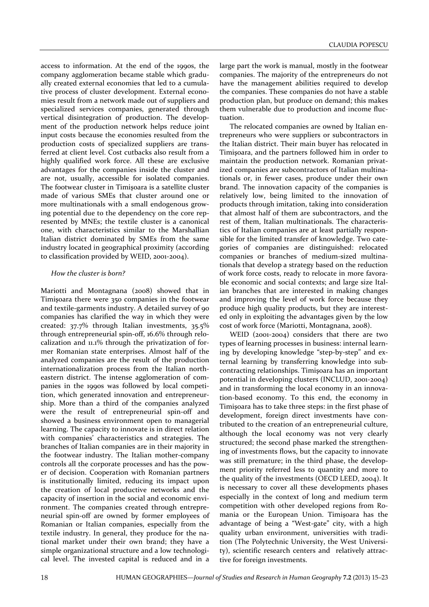access to information. At the end of the 1990s, the company agglomeration became stable which gradually created external economies that led to a cumulative process of cluster development. External economies result from a network made out of suppliers and specialized services companies, generated through vertical disintegration of production. The development of the production network helps reduce joint input costs because the economies resulted from the production costs of specialized suppliers are transferred at client level. Cost cutbacks also result from a highly qualified work force. All these are exclusive advantages for the companies inside the cluster and are not, usually, accessible for isolated companies. The footwear cluster in Timişoara is a satellite cluster made of various SMEs that cluster around one or more multinationals with a small endogenous growing potential due to the dependency on the core represented by MNEs; the textile cluster is a canonical one, with characteristics similar to the Marshallian Italian district dominated by SMEs from the same industry located in geographical proximity (according to classification provided by WEID, 2001-2004).

#### *How the cluster is born?*

Mariotti and Montagnana (2008) showed that in Timişoara there were 350 companies in the footwear and textile-garments industry. A detailed survey of 90 companies has clarified the way in which they were created: 37.7% through Italian investments, 35.5% through entrepreneurial spin-off, 16.6% through relocalization and 11.1% through the privatization of former Romanian state enterprises. Almost half of the analyzed companies are the result of the production internationalization process from the Italian northeastern district. The intense agglomeration of companies in the 1990s was followed by local competition, which generated innovation and entrepreneurship. More than a third of the companies analyzed were the result of entrepreneurial spin-off and showed a business environment open to managerial learning. The capacity to innovate is in direct relation with companies' characteristics and strategies. The branches of Italian companies are in their majority in the footwear industry. The Italian mother-company controls all the corporate processes and has the power of decision. Cooperation with Romanian partners is institutionally limited, reducing its impact upon the creation of local productive networks and the capacity of insertion in the social and economic environment. The companies created through entrepreneurial spin-off are owned by former employees of Romanian or Italian companies, especially from the textile industry. In general, they produce for the national market under their own brand; they have a simple organizational structure and a low technological level. The invested capital is reduced and in a

large part the work is manual, mostly in the footwear companies. The majority of the entrepreneurs do not have the management abilities required to develop the companies. These companies do not have a stable production plan, but produce on demand; this makes them vulnerable due to production and income fluctuation.

The relocated companies are owned by Italian entrepreneurs who were suppliers or subcontractors in the Italian district. Their main buyer has relocated in Timişoara, and the partners followed him in order to maintain the production network. Romanian privatized companies are subcontractors of Italian multinationals or, in fewer cases, produce under their own brand. The innovation capacity of the companies is relatively low, being limited to the innovation of products through imitation, taking into consideration that almost half of them are subcontractors, and the rest of them, Italian multinationals. The characteristics of Italian companies are at least partially responsible for the limited transfer of knowledge. Two categories of companies are distinguished: relocated companies or branches of medium-sized multinationals that develop a strategy based on the reduction of work force costs, ready to relocate in more favorable economic and social contexts; and large size Italian branches that are interested in making changes and improving the level of work force because they produce high quality products, but they are interested only in exploiting the advantages given by the low cost of work force (Mariotti, Montagnana, 2008).

WEID (2001-2004) considers that there are two types of learning processes in business: internal learning by developing knowledge "step-by-step" and external learning by transferring knowledge into subcontracting relationships. Timişoara has an important potential in developing clusters (INCLUD, 2001-2004) and in transforming the local economy in an innovation-based economy. To this end, the economy in Timişoara has to take three steps: in the first phase of development, foreign direct investments have contributed to the creation of an entrepreneurial culture, although the local economy was not very clearly structured; the second phase marked the strengthening of investments flows, but the capacity to innovate was still premature; in the third phase, the development priority referred less to quantity and more to the quality of the investments (OECD LEED, 2004). It is necessary to cover all these developments phases especially in the context of long and medium term competition with other developed regions from Romania or the European Union. Timişoara has the advantage of being a "West-gate" city, with a high quality urban environment, universities with tradition (The Polytechnic University, the West University), scientific research centers and relatively attractive for foreign investments.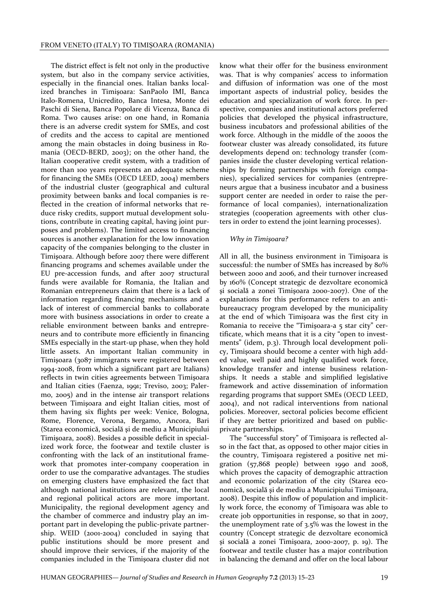The district effect is felt not only in the productive system, but also in the company service activities, especially in the financial ones. Italian banks localized branches in Timişoara: SanPaolo IMI, Banca Italo-Romena, Unicredito, Banca Intesa, Monte dei Paschi di Siena, Banca Popolare di Vicenza, Banca di Roma. Two causes arise: on one hand, in Romania there is an adverse credit system for SMEs, and cost of credits and the access to capital are mentioned among the main obstacles in doing business in Romania (OECD-BERD, 2003); on the other hand, the Italian cooperative credit system, with a tradition of more than 100 years represents an adequate scheme for financing the SMEs (OECD LEED, 2004) members of the industrial cluster (geographical and cultural proximity between banks and local companies is reflected in the creation of informal networks that reduce risky credits, support mutual development solutions, contribute in creating capital, having joint purposes and problems). The limited access to financing sources is another explanation for the low innovation capacity of the companies belonging to the cluster in Timişoara. Although before 2007 there were different financing programs and schemes available under the EU pre-accession funds, and after 2007 structural funds were available for Romania, the Italian and Romanian entrepreneurs claim that there is a lack of information regarding financing mechanisms and a lack of interest of commercial banks to collaborate more with business associations in order to create a reliable environment between banks and entrepreneurs and to contribute more efficiently in financing SMEs especially in the start-up phase, when they hold little assets. An important Italian community in Timişoara (3087 immigrants were registered between 1994-2008, from which a significant part are Italians) reflects in twin cities agreements between Timişoara and Italian cities (Faenza, 1991; Treviso, 2003; Palermo, 2005) and in the intense air transport relations between Timişoara and eight Italian cities, most of them having six flights per week: Venice, Bologna, Rome, Florence, Verona, Bergamo, Ancora, Bari (Starea economică, socială şi de mediu a Municipiului Timişoara, 2008). Besides a possible deficit in specialized work force, the footwear and textile cluster is confronting with the lack of an institutional framework that promotes inter-company cooperation in order to use the comparative advantages. The studies on emerging clusters have emphasized the fact that although national institutions are relevant, the local and regional political actors are more important. Municipality, the regional development agency and the chamber of commerce and industry play an important part in developing the public-private partnership. WEID (2001-2004) concluded in saying that public institutions should be more present and should improve their services, if the majority of the companies included in the Timişoara cluster did not know what their offer for the business environment was. That is why companies' access to information and diffusion of information was one of the most important aspects of industrial policy, besides the education and specialization of work force. In perspective, companies and institutional actors preferred policies that developed the physical infrastructure, business incubators and professional abilities of the work force. Although in the middle of the 2000s the footwear cluster was already consolidated, its future developments depend on: technology transfer (companies inside the cluster developing vertical relationships by forming partnerships with foreign companies), specialized services for companies (entrepreneurs argue that a business incubator and a business support center are needed in order to raise the performance of local companies), internationalization strategies (cooperation agreements with other clusters in order to extend the joint learning processes).

#### *Why in Timişoara?*

All in all, the business environment in Timişoara is successful: the number of SMEs has increased by 80% between 2000 and 2006, and their turnover increased by 160% (Concept strategic de dezvoltare economică şi socială a zonei Timişoara 2000-2007). One of the explanations for this performance refers to an antibureaucracy program developed by the municipality at the end of which Timişoara was the first city in Romania to receive the "Timişoara-a 5 star city" certificate, which means that it is a city "open to investments" (idem, p.3). Through local development policy, Timişoara should become a center with high added value, well paid and highly qualified work force, knowledge transfer and intense business relationships. It needs a stable and simplified legislative framework and active dissemination of information regarding programs that support SMEs (OECD LEED, 2004), and not radical interventions from national policies. Moreover, sectoral policies become efficient if they are better prioritized and based on publicprivate partnerships.

The "successful story" of Timişoara is reflected also in the fact that, as opposed to other major cities in the country, Timişoara registered a positive net migration (57,868 people) between 1990 and 2008, which proves the capacity of demographic attraction and economic polarization of the city (Starea economică, socială şi de mediu a Municipiului Timişoara, 2008). Despite this inflow of population and implicitly work force, the economy of Timişoara was able to create job opportunities in response, so that in 2007, the unemployment rate of 3.5% was the lowest in the country (Concept strategic de dezvoltare economică şi socială a zonei Timişoara, 2000-2007, p. 19). The footwear and textile cluster has a major contribution in balancing the demand and offer on the local labour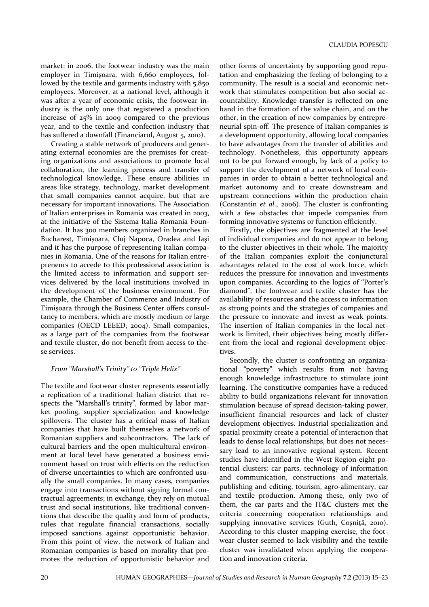market: in 2006, the footwear industry was the main employer in Timișoara, with 6,660 employees, followed by the textile and garments industry with 5,850 employees. Moreover, at a national level, although it was after a year of economic crisis, the footwear industry is the only one that registered a production increase of 25% in 2009 compared to the previous year, and to the textile and confection industry that has suffered a downfall (Financiarul, August 5, 2010).

Creating a stable network of producers and generating external economies are the premises for creating organizations and associations to promote local collaboration, the learning process and transfer of technological knowledge. These ensure abilities in areas like strategy, technology, market development that small companies cannot acquire, but that are necessary for important innovations. The Association of Italian enterprises in Romania was created in 2003, at the initiative of the Sistema Italia Romania Foundation. It has 300 members organized in branches in Bucharest, Timişoara, Cluj Napoca, Oradea and Iaşi and it has the purpose of representing Italian companies in Romania. One of the reasons for Italian entrepreneurs to accede to this professional association is the limited access to information and support services delivered by the local institutions involved in the development of the business environment. For example, the Chamber of Commerce and Industry of Timişoara through the Business Center offers consultancy to members, which are mostly medium or large companies (OECD LEEED, 2004). Small companies, as a large part of the companies from the footwear and textile cluster, do not benefit from access to these services.

#### *From "Marshall's Trinity" to "Triple Helix"*

The textile and footwear cluster represents essentially a replication of a traditional Italian district that respects the "Marshall's trinity", formed by labor market pooling, supplier specialization and knowledge spillovers. The cluster has a critical mass of Italian companies that have built themselves a network of Romanian suppliers and subcontractors. The lack of cultural barriers and the open multicultural environment at local level have generated a business environment based on trust with effects on the reduction of diverse uncertainties to which are confronted usually the small companies. In many cases, companies engage into transactions without signing formal contractual agreements; in exchange, they rely on mutual trust and social institutions, like traditional conventions that describe the quality and form of products, rules that regulate financial transactions, socially imposed sanctions against opportunistic behavior. From this point of view, the network of Italian and Romanian companies is based on morality that promotes the reduction of opportunistic behavior and

other forms of uncertainty by supporting good reputation and emphasizing the feeling of belonging to a community. The result is a social and economic network that stimulates competition but also social accountability. Knowledge transfer is reflected on one hand in the formation of the value chain, and on the other, in the creation of new companies by entrepreneurial spin-off. The presence of Italian companies is a development opportunity, allowing local companies to have advantages from the transfer of abilities and technology. Nonetheless, this opportunity appears not to be put forward enough, by lack of a policy to support the development of a network of local companies in order to obtain a better technological and market autonomy and to create downstream and upstream connections within the production chain (Constantin *et al*., 2006). The cluster is confronting with a few obstacles that impede companies from forming innovative systems or function efficiently.

Firstly, the objectives are fragmented at the level of individual companies and do not appear to belong to the cluster objectives in their whole. The majority of the Italian companies exploit the conjunctural advantages related to the cost of work force, which reduces the pressure for innovation and investments upon companies. According to the logics of "Porter's diamond", the footwear and textile cluster has the availability of resources and the access to information as strong points and the strategies of companies and the pressure to innovate and invest as weak points. The insertion of Italian companies in the local network is limited, their objectives being mostly different from the local and regional development objectives.

Secondly, the cluster is confronting an organizational "poverty" which results from not having enough knowledge infrastructure to stimulate joint learning. The constitutive companies have a reduced ability to build organizations relevant for innovation stimulation because of spread decision-taking power, insufficient financial resources and lack of cluster development objectives. Industrial specialization and spatial proximity create a potential of interaction that leads to dense local relationships, but does not necessary lead to an innovative regional system. Recent studies have identified in the West Region eight potential clusters: car parts, technology of information and communication, constructions and materials, publishing and editing, tourism, agro-alimentary, car and textile production. Among these, only two of them, the car parts and the IT&C clusters met the criteria concerning cooperation relationships and supplying innovative services (Guth, Coşniţă, 2010). According to this cluster mapping exercise, the footwear cluster seemed to lack visibility and the textile cluster was invalidated when applying the cooperation and innovation criteria.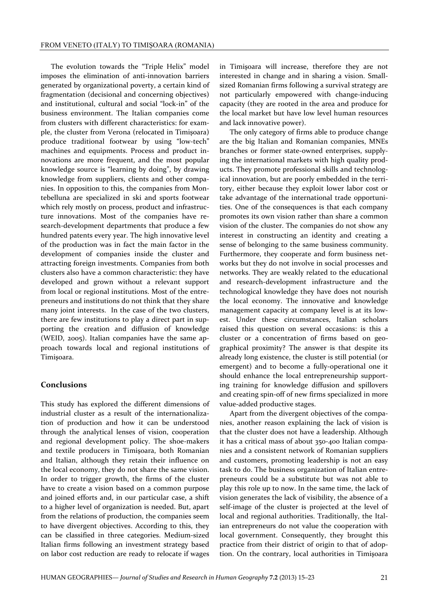The evolution towards the "Triple Helix" model imposes the elimination of anti-innovation barriers generated by organizational poverty, a certain kind of fragmentation (decisional and concerning objectives) and institutional, cultural and social "lock-in" of the business environment. The Italian companies come from clusters with different characteristics: for example, the cluster from Verona (relocated in Timişoara) produce traditional footwear by using "low-tech" machines and equipments. Process and product innovations are more frequent, and the most popular knowledge source is "learning by doing", by drawing knowledge from suppliers, clients and other companies. In opposition to this, the companies from Montebelluna are specialized in ski and sports footwear which rely mostly on process, product and infrastructure innovations. Most of the companies have research-development departments that produce a few hundred patents every year. The high innovative level of the production was in fact the main factor in the development of companies inside the cluster and attracting foreign investments. Companies from both clusters also have a common characteristic: they have developed and grown without a relevant support from local or regional institutions. Most of the entrepreneurs and institutions do not think that they share many joint interests. In the case of the two clusters, there are few institutions to play a direct part in supporting the creation and diffusion of knowledge (WEID, 2005). Italian companies have the same approach towards local and regional institutions of Timişoara.

# Conclusions

This study has explored the different dimensions of industrial cluster as a result of the internationalization of production and how it can be understood through the analytical lenses of vision, cooperation and regional development policy. The shoe-makers and textile producers in Timişoara, both Romanian and Italian, although they retain their influence on the local economy, they do not share the same vision. In order to trigger growth, the firms of the cluster have to create a vision based on a common purpose and joined efforts and, in our particular case, a shift to a higher level of organization is needed. But, apart from the relations of production, the companies seem to have divergent objectives. According to this, they can be classified in three categories. Medium-sized Italian firms following an investment strategy based on labor cost reduction are ready to relocate if wages in Timişoara will increase, therefore they are not interested in change and in sharing a vision. Smallsized Romanian firms following a survival strategy are not particularly empowered with change-inducing capacity (they are rooted in the area and produce for the local market but have low level human resources and lack innovative power).

The only category of firms able to produce change are the big Italian and Romanian companies, MNEs branches or former state-owned enterprises, supplying the international markets with high quality products. They promote professional skills and technological innovation, but are poorly embedded in the territory, either because they exploit lower labor cost or take advantage of the international trade opportunities. One of the consequences is that each company promotes its own vision rather than share a common vision of the cluster. The companies do not show any interest in constructing an identity and creating a sense of belonging to the same business community. Furthermore, they cooperate and form business networks but they do not involve in social processes and networks. They are weakly related to the educational and research-development infrastructure and the technological knowledge they have does not nourish the local economy. The innovative and knowledge management capacity at company level is at its lowest. Under these circumstances, Italian scholars raised this question on several occasions: is this a cluster or a concentration of firms based on geographical proximity? The answer is that despite its already long existence, the cluster is still potential (or emergent) and to become a fully-operational one it should enhance the local entrepreneurship supporting training for knowledge diffusion and spillovers and creating spin-off of new firms specialized in more value-added productive stages.

Apart from the divergent objectives of the companies, another reason explaining the lack of vision is that the cluster does not have a leadership. Although it has a critical mass of about 350-400 Italian companies and a consistent network of Romanian suppliers and customers, promoting leadership is not an easy task to do. The business organization of Italian entrepreneurs could be a substitute but was not able to play this role up to now. In the same time, the lack of vision generates the lack of visibility, the absence of a self-image of the cluster is projected at the level of local and regional authorities. Traditionally, the Italian entrepreneurs do not value the cooperation with local government. Consequently, they brought this practice from their district of origin to that of adoption. On the contrary, local authorities in Timişoara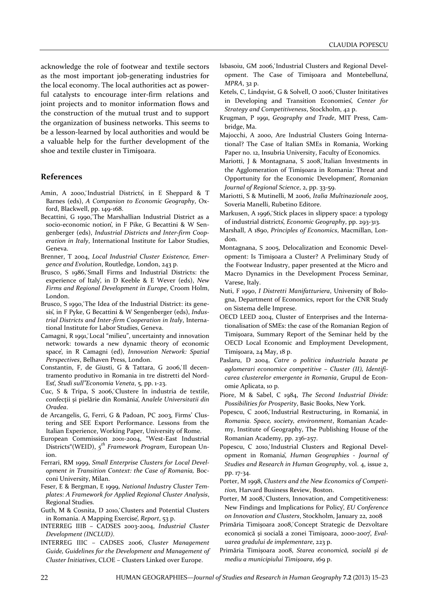acknowledge the role of footwear and textile sectors as the most important job-generating industries for the local economy. The local authorities act as powerful catalysts to encourage inter-firm relations and joint projects and to monitor information flows and the construction of the mutual trust and to support the organization of business networks. This seems to be a lesson-learned by local authorities and would be a valuable help for the further development of the shoe and textile cluster in Timişoara.

#### References

- Amin, A 2000, Industrial Districts<sup>'</sup>, in E Sheppard & T Barnes (eds), *A Companion to Economic Geography*, Oxford, Blackwell, pp. 149-168.
- Becattini, G 1990, The Marshallian Industrial District as a socio-economic notion', in F Pike, G Becattini & W Sengenberger (eds), *Industrial Districts and Inter-firm Cooperation in Italy*, International Institute for Labor Studies, Geneva.
- Brenner, T 2004, *Local Industrial Cluster Existence, Emergence and Evolution*, Routledge, London, 243 p.
- Brusco, S 1986, Small Firms and Industrial Districts: the experience of Italy̕, in D Keeble & E Wever (eds), *New Firms and Regional Development in Europe*, Croom Holm, London.
- Brusco, S 1990, The Idea of the Industrial District: its genesis̕, in F Pyke, G Becattini & W Sengenberger (eds), *Industrial Districts and Inter-firm Cooperation in Italy*, International Institute for Labor Studies, Geneva.
- Camagni, R 1991, Local "milieu", uncertainty and innovation network: towards a new dynamic theory of economic space̕, in R Camagni (ed), *Innovation Network: Spatial Perspectives*, Belhaven Press, London.
- Constantin, F, de Giusti, G & Tattara, G 2006, Il decentramento produtivo in Romania in tre distretti del Nord-Est̕, *Studi sull"Economia Veneta*, 5, pp. 1-23.
- Cuc, S & Tripa, S 2006, Clustere în industria de textile, confecţii şi pielărie din România̕, A*nalele Universitatii din Oradea*.
- de Arcangelis, G, Ferri, G & Padoan, PC 2003, Firms' Clustering and SEE Export Performance. Lessons from the Italian Experience, Working Paper, University of Rome.
- European Commission 2001-2004, "West-East Industrial Districts"(WEID), *5 th Framework Program*, European Union.
- Ferrari, RM 1999, *Small Enterprise Clusters for Local Development in Transition Context: the Case of Romania,* Bocconi University, Milan.
- Feser, E & Bergman, E 1999, *National Industry Cluster Templates: A Framework for Applied Regional Cluster Analysis*, Regional Studies.
- Guth, M & Cosnita, D 2010, Clusters and Potential Clusters in Romania. A Mapping Exercise̕, *Report*, 53 p.
- INTERREG IIIB CADSES 2003-2004, *Industrial Cluster Development (INCLUD)*.
- INTERREG IIIC CADSES 2006, *Cluster Management Guide, Guidelines for the Development and Management of Cluster Initiatives*, CLOE – Clusters Linked over Europe.
- Isbasoiu, GM 2006, Industrial Clusters and Regional Development. The Case of Timişoara and Montebelluna̕, *MPRA*, 32 p.
- Ketels, C, Lindqvist, G & Solvell, O 2006, Cluster Inititatives in Developing and Transition Economies̕, *Center for Strategy and Competitiveness*, Stockholm, 42 p.
- Krugman, P 1991, *Geography and Trade*, MIT Press, Cambridge, Ma.
- Majocchi, A 2000, Are Industrial Clusters Going International? The Case of Italian SMEs in Romania, Working Paper no. 12, Insubria University, Faculty of Economics.
- Mariotti, J & Montagnana, S 2008, Italian Investments in the Agglomeration of Timişoara in Romania: Threat and Opportunity for the Economic Development̕, *Romanian Journal of Regional Science*, 2, pp. 33-59.
- Mariotti, S & Mutinelli, M 2006, *Italia Multinazionale 2005*, Soveria Manelli, Rubetino Editore.
- Markusen, A 1996, Stick places in slippery space: a typology of industrial districts̕, *Economic Geography*, pp. 293-313.
- Marshall, A 1890, *Principles of Economics*, Macmillan, London.
- Montagnana, S 2005, Delocalization and Economic Development: Is Timişoara a Cluster? A Preliminary Study of the Footwear Industry, paper presented at the Micro and Macro Dynamics in the Development Process Seminar, Varese, Italy.
- Nuti, F 1990, *I Distretti Manifatturiera*, University of Bologna, Department of Economics, report for the CNR Study on Sistema delle Imprese.
- OECD LEED 2004, Cluster of Enterprises and the Internationalisation of SMEs: the case of the Romanian Region of Timişoara, Summary Report of the Seminar held by the OECD Local Economic and Employment Development, Timişoara, 24 May, 18 p.
- Paslaru, D 2004, *Catre o politica industriala bazata pe aglomerari economice competitive – Cluster (II), Identificarea clusterelor emergente in Romania*, Grupul de Economie Aplicata, 10 p.
- Piore, M & Sabel, C 1984, *The Second Industrial Divide: Possibilities for Prosperity*, Basic Books, New York.
- Popescu, C 2006, Industrial Restructuring, in Romania', in *Romania. Space, society, environment*, Romanian Academy, Institute of Geography, The Publishing House of the Romanian Academy, pp. 236-257.
- Popescu, C 2010, Industrial Clusters and Regional Development in Romania̕, *Human Geographies - Journal of Studies and Research in Human Geography*, vol. 4, issue 2, pp. 17-34.
- Porter, M 1998, *Clusters and the New Economics of Competition,* Harvard Business Review, Boston.
- Porter, M 2008, Clusters, Innovation, and Competitiveness: New Findings and Implications for Policy̕, *EU Conference on Innovation and Clusters*, Stockholm, January 22, 2008
- Primăria Timișoara 2008, Concept Strategic de Dezvoltare economică şi socială a zonei Timişoara, 2000-2007̕, *Evaluarea gradului de implementare*, 223 p.
- Primăria Timişoara 2008, *Starea economică, socială şi de mediu a municipiului Timişoara*, 169 p.